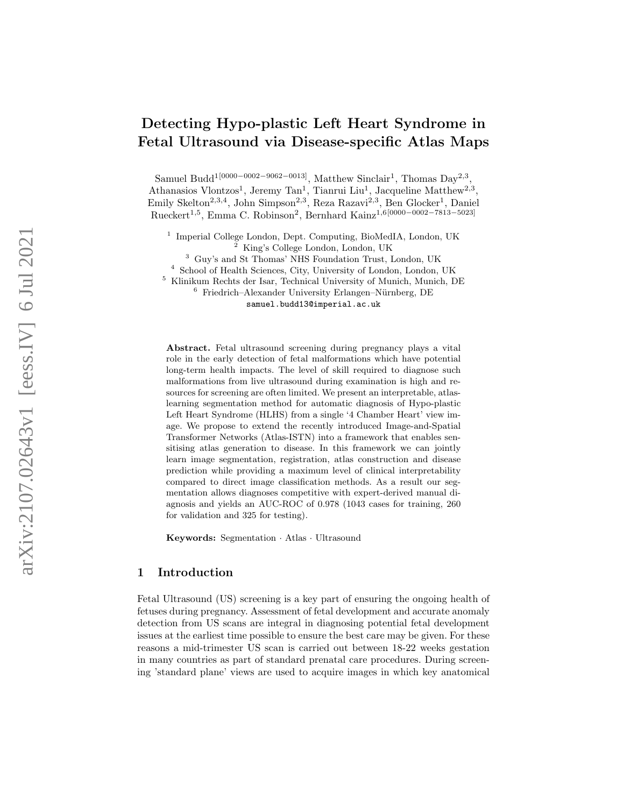# Detecting Hypo-plastic Left Heart Syndrome in Fetal Ultrasound via Disease-specific Atlas Maps

Samuel Budd<sup>1[0000–0002–9062–0013]</sup>, Matthew Sinclair<sup>1</sup>, Thomas Day<sup>2,3</sup>, Athanasios Vlontzos<sup>1</sup>, Jeremy Tan<sup>1</sup>, Tianrui Liu<sup>1</sup>, Jacqueline Matthew<sup>2,3</sup>, Emily Skelton<sup>2,3,4</sup>, John Simpson<sup>2,3</sup>, Reza Razavi<sup>2,3</sup>, Ben Glocker<sup>1</sup>, Daniel Rueckert<sup>1,5</sup>, Emma C. Robinson<sup>2</sup>, Bernhard Kainz<sup>1,6[0000–0002–7813–5023]</sup>

<sup>1</sup> Imperial College London, Dept. Computing, BioMedIA, London, UK <sup>2</sup> King's College London, London, UK

<sup>3</sup> Guy's and St Thomas' NHS Foundation Trust, London, UK

<sup>4</sup> School of Health Sciences, City, University of London, London, UK

<sup>5</sup> Klinikum Rechts der Isar, Technical University of Munich, Munich, DE

 $6$  Friedrich–Alexander University Erlangen–Nürnberg, DE samuel.budd13@imperial.ac.uk

Abstract. Fetal ultrasound screening during pregnancy plays a vital role in the early detection of fetal malformations which have potential long-term health impacts. The level of skill required to diagnose such malformations from live ultrasound during examination is high and resources for screening are often limited. We present an interpretable, atlaslearning segmentation method for automatic diagnosis of Hypo-plastic Left Heart Syndrome (HLHS) from a single '4 Chamber Heart' view image. We propose to extend the recently introduced Image-and-Spatial Transformer Networks (Atlas-ISTN) into a framework that enables sensitising atlas generation to disease. In this framework we can jointly learn image segmentation, registration, atlas construction and disease prediction while providing a maximum level of clinical interpretability compared to direct image classification methods. As a result our segmentation allows diagnoses competitive with expert-derived manual diagnosis and yields an AUC-ROC of 0.978 (1043 cases for training, 260 for validation and 325 for testing).

Keywords: Segmentation · Atlas · Ultrasound

# 1 Introduction

Fetal Ultrasound (US) screening is a key part of ensuring the ongoing health of fetuses during pregnancy. Assessment of fetal development and accurate anomaly detection from US scans are integral in diagnosing potential fetal development issues at the earliest time possible to ensure the best care may be given. For these reasons a mid-trimester US scan is carried out between 18-22 weeks gestation in many countries as part of standard prenatal care procedures. During screening 'standard plane' views are used to acquire images in which key anatomical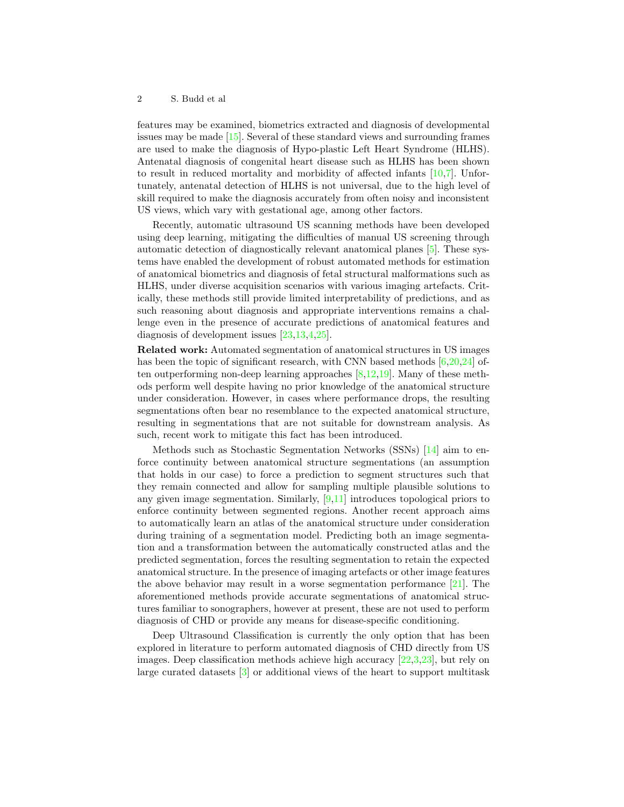features may be examined, biometrics extracted and diagnosis of developmental issues may be made [\[15\]](#page-9-0). Several of these standard views and surrounding frames are used to make the diagnosis of Hypo-plastic Left Heart Syndrome (HLHS). Antenatal diagnosis of congenital heart disease such as HLHS has been shown to result in reduced mortality and morbidity of affected infants [\[10,](#page-9-1)[7\]](#page-9-2). Unfortunately, antenatal detection of HLHS is not universal, due to the high level of skill required to make the diagnosis accurately from often noisy and inconsistent US views, which vary with gestational age, among other factors.

Recently, automatic ultrasound US scanning methods have been developed using deep learning, mitigating the difficulties of manual US screening through automatic detection of diagnostically relevant anatomical planes [\[5\]](#page-9-3). These systems have enabled the development of robust automated methods for estimation of anatomical biometrics and diagnosis of fetal structural malformations such as HLHS, under diverse acquisition scenarios with various imaging artefacts. Critically, these methods still provide limited interpretability of predictions, and as such reasoning about diagnosis and appropriate interventions remains a challenge even in the presence of accurate predictions of anatomical features and diagnosis of development issues [\[23,](#page-10-0)[13,](#page-9-4)[4,](#page-9-5)[25\]](#page-10-1).

Related work: Automated segmentation of anatomical structures in US images has been the topic of significant research, with CNN based methods  $[6,20,24]$  $[6,20,24]$  $[6,20,24]$  often outperforming non-deep learning approaches [\[8,](#page-9-7)[12,](#page-9-8)[19\]](#page-10-4). Many of these methods perform well despite having no prior knowledge of the anatomical structure under consideration. However, in cases where performance drops, the resulting segmentations often bear no resemblance to the expected anatomical structure, resulting in segmentations that are not suitable for downstream analysis. As such, recent work to mitigate this fact has been introduced.

Methods such as Stochastic Segmentation Networks (SSNs) [\[14\]](#page-9-9) aim to enforce continuity between anatomical structure segmentations (an assumption that holds in our case) to force a prediction to segment structures such that they remain connected and allow for sampling multiple plausible solutions to any given image segmentation. Similarly,  $[9,11]$  $[9,11]$  introduces topological priors to enforce continuity between segmented regions. Another recent approach aims to automatically learn an atlas of the anatomical structure under consideration during training of a segmentation model. Predicting both an image segmentation and a transformation between the automatically constructed atlas and the predicted segmentation, forces the resulting segmentation to retain the expected anatomical structure. In the presence of imaging artefacts or other image features the above behavior may result in a worse segmentation performance  $[21]$ . The aforementioned methods provide accurate segmentations of anatomical structures familiar to sonographers, however at present, these are not used to perform diagnosis of CHD or provide any means for disease-specific conditioning.

Deep Ultrasound Classification is currently the only option that has been explored in literature to perform automated diagnosis of CHD directly from US images. Deep classification methods achieve high accuracy  $[22,3,23]$  $[22,3,23]$  $[22,3,23]$ , but rely on large curated datasets  $\lceil 3 \rceil$  or additional views of the heart to support multitask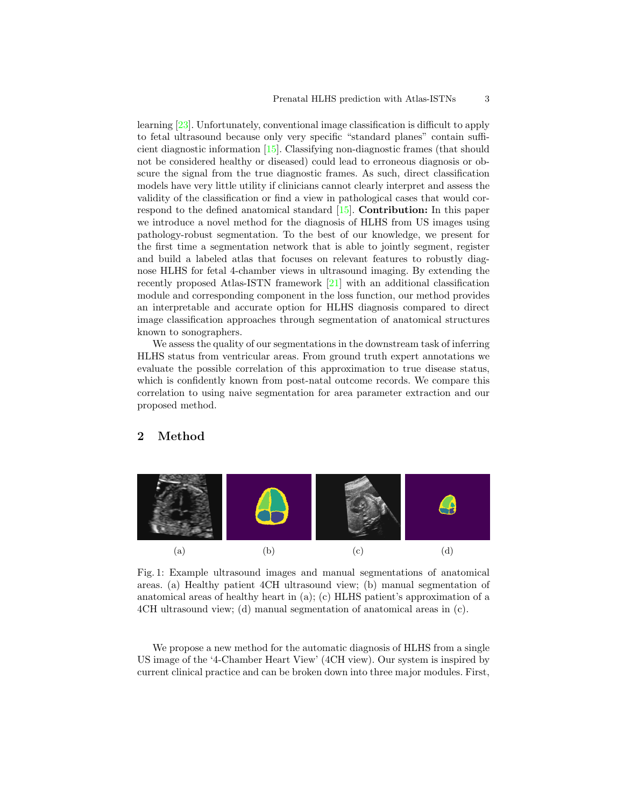learning [\[23\]](#page-10-0). Unfortunately, conventional image classification is difficult to apply to fetal ultrasound because only very specific "standard planes" contain sufficient diagnostic information [\[15\]](#page-9-0). Classifying non-diagnostic frames (that should not be considered healthy or diseased) could lead to erroneous diagnosis or obscure the signal from the true diagnostic frames. As such, direct classification models have very little utility if clinicians cannot clearly interpret and assess the validity of the classification or find a view in pathological cases that would correspond to the defined anatomical standard [\[15\]](#page-9-0). Contribution: In this paper we introduce a novel method for the diagnosis of HLHS from US images using pathology-robust segmentation. To the best of our knowledge, we present for the first time a segmentation network that is able to jointly segment, register and build a labeled atlas that focuses on relevant features to robustly diagnose HLHS for fetal 4-chamber views in ultrasound imaging. By extending the recently proposed Atlas-ISTN framework [\[21\]](#page-10-5) with an additional classification module and corresponding component in the loss function, our method provides an interpretable and accurate option for HLHS diagnosis compared to direct image classification approaches through segmentation of anatomical structures known to sonographers.

We assess the quality of our segmentations in the downstream task of inferring HLHS status from ventricular areas. From ground truth expert annotations we evaluate the possible correlation of this approximation to true disease status, which is confidently known from post-natal outcome records. We compare this correlation to using naive segmentation for area parameter extraction and our proposed method.

# 2 Method

<span id="page-2-0"></span>

Fig. 1: Example ultrasound images and manual segmentations of anatomical areas. (a) Healthy patient 4CH ultrasound view; (b) manual segmentation of anatomical areas of healthy heart in (a); (c) HLHS patient's approximation of a 4CH ultrasound view; (d) manual segmentation of anatomical areas in (c).

We propose a new method for the automatic diagnosis of HLHS from a single US image of the '4-Chamber Heart View' (4CH view). Our system is inspired by current clinical practice and can be broken down into three major modules. First,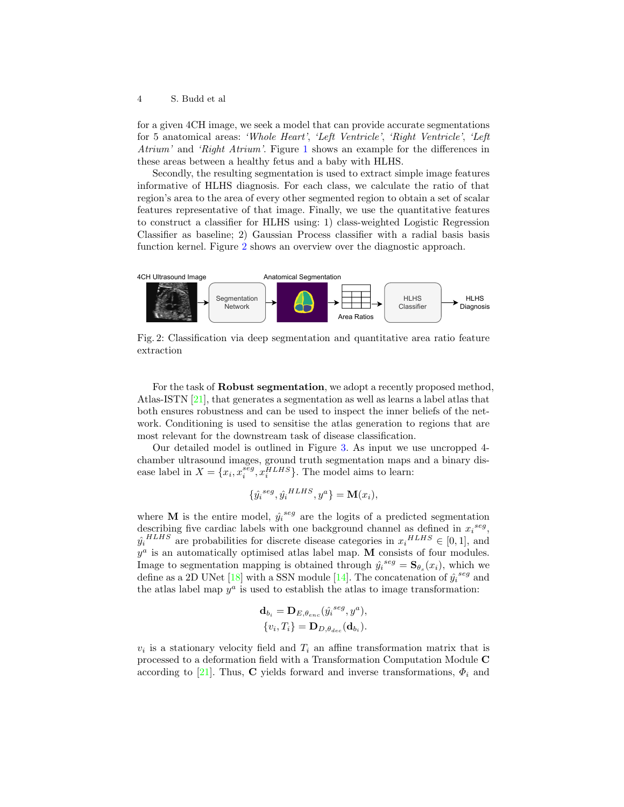for a given 4CH image, we seek a model that can provide accurate segmentations for 5 anatomical areas: 'Whole Heart', 'Left Ventricle', 'Right Ventricle', 'Left Atrium' and 'Right Atrium'. Figure [1](#page-2-0) shows an example for the differences in these areas between a healthy fetus and a baby with HLHS.

Secondly, the resulting segmentation is used to extract simple image features informative of HLHS diagnosis. For each class, we calculate the ratio of that region's area to the area of every other segmented region to obtain a set of scalar features representative of that image. Finally, we use the quantitative features to construct a classifier for HLHS using: 1) class-weighted Logistic Regression Classifier as baseline; 2) Gaussian Process classifier with a radial basis basis function kernel. Figure [2](#page-3-0) shows an overview over the diagnostic approach.

<span id="page-3-0"></span>

Fig. 2: Classification via deep segmentation and quantitative area ratio feature extraction

For the task of Robust segmentation, we adopt a recently proposed method, Atlas-ISTN [\[21\]](#page-10-5), that generates a segmentation as well as learns a label atlas that both ensures robustness and can be used to inspect the inner beliefs of the network. Conditioning is used to sensitise the atlas generation to regions that are most relevant for the downstream task of disease classification.

Our detailed model is outlined in Figure [3.](#page-4-0) As input we use uncropped 4 chamber ultrasound images, ground truth segmentation maps and a binary disease label in  $X = \{x_i, x_i^{seg}, x_i^{HLHS}\}$ . The model aims to learn:

$$
\{\hat{y_i}^{seg}, \hat{y_i}^{HLHS}, y^a\} = \mathbf{M}(x_i),
$$

where **M** is the entire model,  $\hat{y_i}^{seg}$  are the logits of a predicted segmentation describing five cardiac labels with one background channel as defined in  $x_i^{seg}$ ,  $\hat{y_i}^{HLHS}$  are probabilities for discrete disease categories in  $x_i^{HLHS} \in [0,1]$ , and  $y^a$  is an automatically optimised atlas label map. M consists of four modules. Image to segmentation mapping is obtained through  $\hat{y}_i^{seg} = \mathbf{S}_{\theta_s}(x_i)$ , which we define as a 2D UNet [\[18\]](#page-10-7) with a SSN module [\[14\]](#page-9-9). The concatenation of  $\hat{y_i}^{seg}$  and the atlas label map  $y^a$  is used to establish the atlas to image transformation:

$$
\mathbf{d}_{b_i} = \mathbf{D}_{E, \theta_{enc}}(\hat{y}_i^{seg}, y^a),
$$
  

$$
\{v_i, T_i\} = \mathbf{D}_{D, \theta_{dec}}(\mathbf{d}_{b_i}).
$$

 $v_i$  is a stationary velocity field and  $T_i$  an affine transformation matrix that is processed to a deformation field with a Transformation Computation Module C according to [\[21\]](#page-10-5). Thus, C yields forward and inverse transformations,  $\Phi_i$  and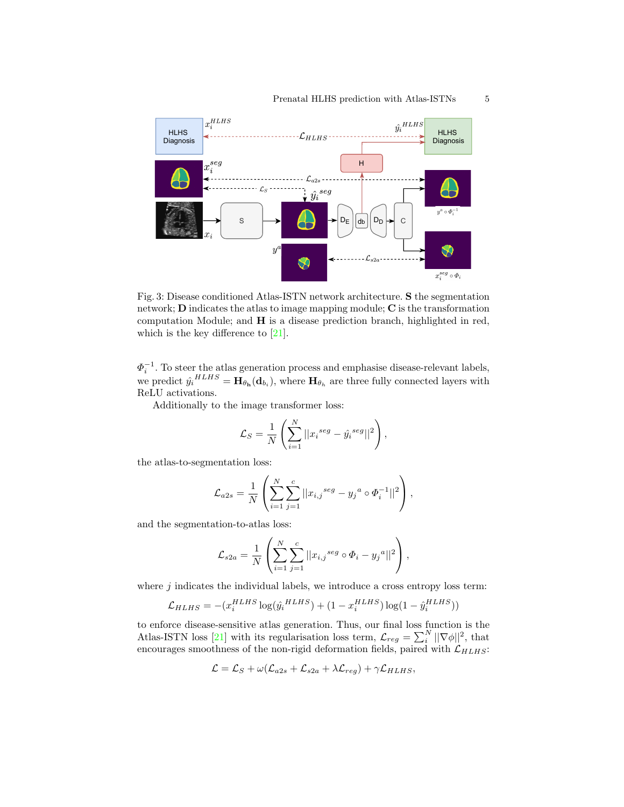<span id="page-4-0"></span>

Fig. 3: Disease conditioned Atlas-ISTN network architecture. S the segmentation network; D indicates the atlas to image mapping module; C is the transformation computation Module; and H is a disease prediction branch, highlighted in red, which is the key difference to [\[21\]](#page-10-5).

 $\Phi_i^{-1}$ . To steer the atlas generation process and emphasise disease-relevant labels,  $\Psi_i$ . To steel the atlas generation process and emphasise disease-relevant labels,<br>we predict  $\hat{y}_i{}^{HLHS} = \mathbf{H}_{\theta_{\rm h}}(\mathbf{d}_{b_i})$ , where  $\mathbf{H}_{\theta_h}$  are three fully connected layers with ReLU activations.

Additionally to the image transformer loss:

$$
\mathcal{L}_S = \frac{1}{N} \left( \sum_{i=1}^N ||x_i^{seg} - \hat{y}_i^{seg}||^2 \right),
$$

the atlas-to-segmentation loss:

$$
\mathcal{L}_{a2s} = \frac{1}{N} \left( \sum_{i=1}^{N} \sum_{j=1}^{c} ||x_{i,j}^{seg} - y_j^{a} \circ \Phi_i^{-1}||^2 \right),
$$

and the segmentation-to-atlas loss:

$$
\mathcal{L}_{s2a} = \frac{1}{N} \left( \sum_{i=1}^{N} \sum_{j=1}^{c} ||x_{i,j}^{seg} \circ \Phi_i - y_j^{a}||^2 \right),
$$

where  $j$  indicates the individual labels, we introduce a cross entropy loss term:

$$
\mathcal{L}_{HLHS} = -(x_i^{HLHS} \log(\hat{y_i}^{HLHS}) + (1 - x_i^{HLHS}) \log(1 - \hat{y_i}^{HLHS}))
$$

to enforce disease-sensitive atlas generation. Thus, our final loss function is the Atlas-ISTN loss [\[21\]](#page-10-5) with its regularisation loss term,  $\mathcal{L}_{reg} = \sum_{i}^{N} ||\nabla \phi||^2$ , that encourages smoothness of the non-rigid deformation fields, paired with  $\mathcal{L}_{HLHS}$ :

$$
\mathcal{L} = \mathcal{L}_S + \omega(\mathcal{L}_{a2s} + \mathcal{L}_{s2a} + \lambda \mathcal{L}_{reg}) + \gamma \mathcal{L}_{HLHS},
$$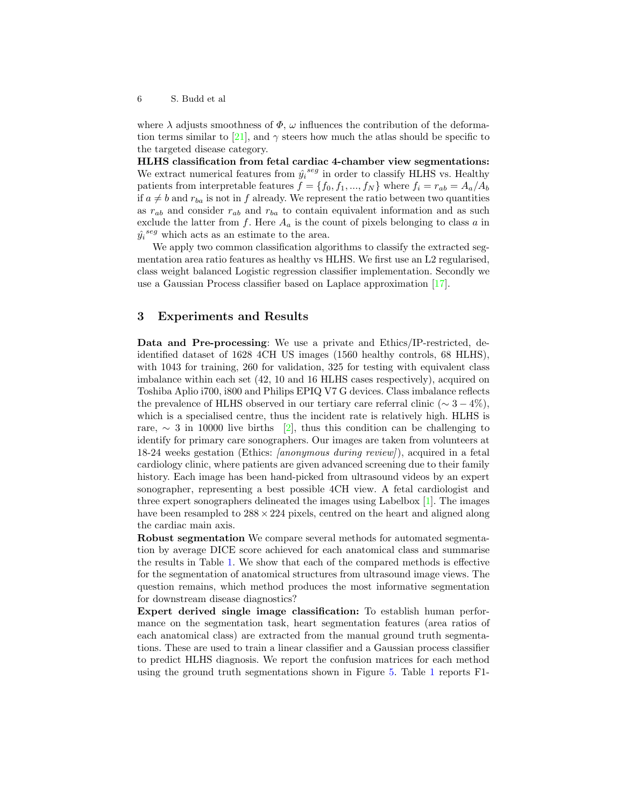where  $\lambda$  adjusts smoothness of  $\Phi$ ,  $\omega$  influences the contribution of the deforma-tion terms similar to [\[21\]](#page-10-5), and  $\gamma$  steers how much the atlas should be specific to the targeted disease category.

HLHS classification from fetal cardiac 4-chamber view segmentations: We extract numerical features from  $\hat{y_i}^{seg}$  in order to classify HLHS vs. Healthy patients from interpretable features  $f = \{f_0, f_1, ..., f_N\}$  where  $f_i = r_{ab} = A_a/A_b$ if  $a \neq b$  and  $r_{ba}$  is not in f already. We represent the ratio between two quantities as  $r_{ab}$  and consider  $r_{ab}$  and  $r_{ba}$  to contain equivalent information and as such exclude the latter from f. Here  $A_a$  is the count of pixels belonging to class a in  $\hat{y_i}^{seg}$  which acts as an estimate to the area.

We apply two common classification algorithms to classify the extracted segmentation area ratio features as healthy vs HLHS. We first use an L2 regularised, class weight balanced Logistic regression classifier implementation. Secondly we use a Gaussian Process classifier based on Laplace approximation [\[17\]](#page-10-8).

# 3 Experiments and Results

Data and Pre-processing: We use a private and Ethics/IP-restricted, deidentified dataset of 1628 4CH US images (1560 healthy controls, 68 HLHS), with 1043 for training, 260 for validation, 325 for testing with equivalent class imbalance within each set (42, 10 and 16 HLHS cases respectively), acquired on Toshiba Aplio i700, i800 and Philips EPIQ V7 G devices. Class imbalance reflects the prevalence of HLHS observed in our tertiary care referral clinic ( $\sim 3 - 4\%)$ , which is a specialised centre, thus the incident rate is relatively high. HLHS is rare,  $\sim$  3 in 10000 live births [\[2\]](#page-9-13), thus this condition can be challenging to identify for primary care sonographers. Our images are taken from volunteers at 18-24 weeks gestation (Ethics: [anonymous during review]), acquired in a fetal cardiology clinic, where patients are given advanced screening due to their family history. Each image has been hand-picked from ultrasound videos by an expert sonographer, representing a best possible 4CH view. A fetal cardiologist and three expert sonographers delineated the images using Labelbox [\[1\]](#page-9-14). The images have been resampled to  $288 \times 224$  pixels, centred on the heart and aligned along the cardiac main axis.

Robust segmentation We compare several methods for automated segmentation by average DICE score achieved for each anatomical class and summarise the results in Table [1.](#page-7-0) We show that each of the compared methods is effective for the segmentation of anatomical structures from ultrasound image views. The question remains, which method produces the most informative segmentation for downstream disease diagnostics?

Expert derived single image classification: To establish human performance on the segmentation task, heart segmentation features (area ratios of each anatomical class) are extracted from the manual ground truth segmentations. These are used to train a linear classifier and a Gaussian process classifier to predict HLHS diagnosis. We report the confusion matrices for each method using the ground truth segmentations shown in Figure [5.](#page-8-0) Table [1](#page-7-0) reports F1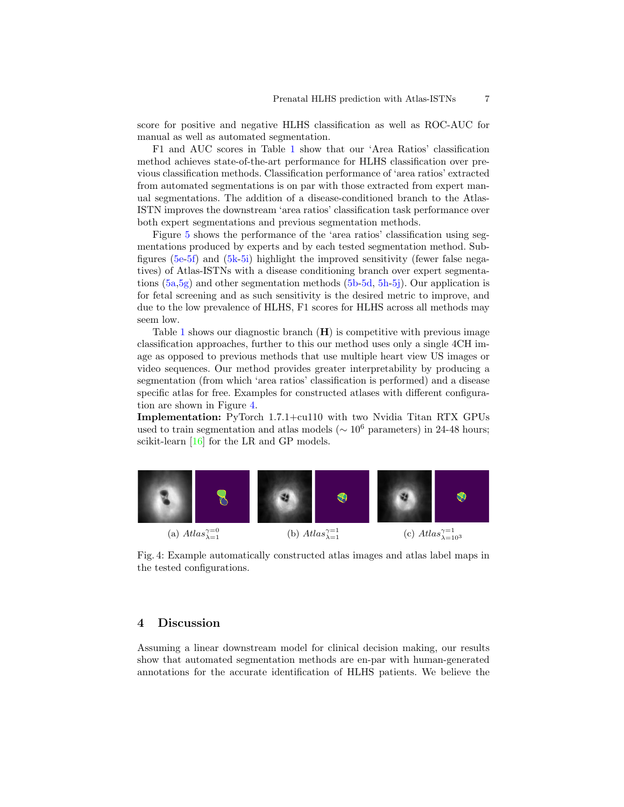score for positive and negative HLHS classification as well as ROC-AUC for manual as well as automated segmentation.

F1 and AUC scores in Table [1](#page-7-0) show that our 'Area Ratios' classification method achieves state-of-the-art performance for HLHS classification over previous classification methods. Classification performance of 'area ratios' extracted from automated segmentations is on par with those extracted from expert manual segmentations. The addition of a disease-conditioned branch to the Atlas-ISTN improves the downstream 'area ratios' classification task performance over both expert segmentations and previous segmentation methods.

Figure [5](#page-8-0) shows the performance of the 'area ratios' classification using segmentations produced by experts and by each tested segmentation method. Subfigures [\(5e-5f\)](#page-8-0) and [\(5k-5i\)](#page-8-0) highlight the improved sensitivity (fewer false negatives) of Atlas-ISTNs with a disease conditioning branch over expert segmentations  $(5a,5g)$  and other segmentation methods  $(5b-5d, 5h-5j)$  $(5b-5d, 5h-5j)$  $(5b-5d, 5h-5j)$ . Our application is for fetal screening and as such sensitivity is the desired metric to improve, and due to the low prevalence of HLHS, F1 scores for HLHS across all methods may seem low.

Table [1](#page-7-0) shows our diagnostic branch (H) is competitive with previous image classification approaches, further to this our method uses only a single 4CH image as opposed to previous methods that use multiple heart view US images or video sequences. Our method provides greater interpretability by producing a segmentation (from which 'area ratios' classification is performed) and a disease specific atlas for free. Examples for constructed atlases with different configuration are shown in Figure [4.](#page-6-0)

Implementation: PyTorch 1.7.1+cu110 with two Nvidia Titan RTX GPUs used to train segmentation and atlas models ( $\sim 10^6$  parameters) in 24-48 hours; scikit-learn [\[16\]](#page-9-15) for the LR and GP models.

<span id="page-6-0"></span>

Fig. 4: Example automatically constructed atlas images and atlas label maps in the tested configurations.

### 4 Discussion

Assuming a linear downstream model for clinical decision making, our results show that automated segmentation methods are en-par with human-generated annotations for the accurate identification of HLHS patients. We believe the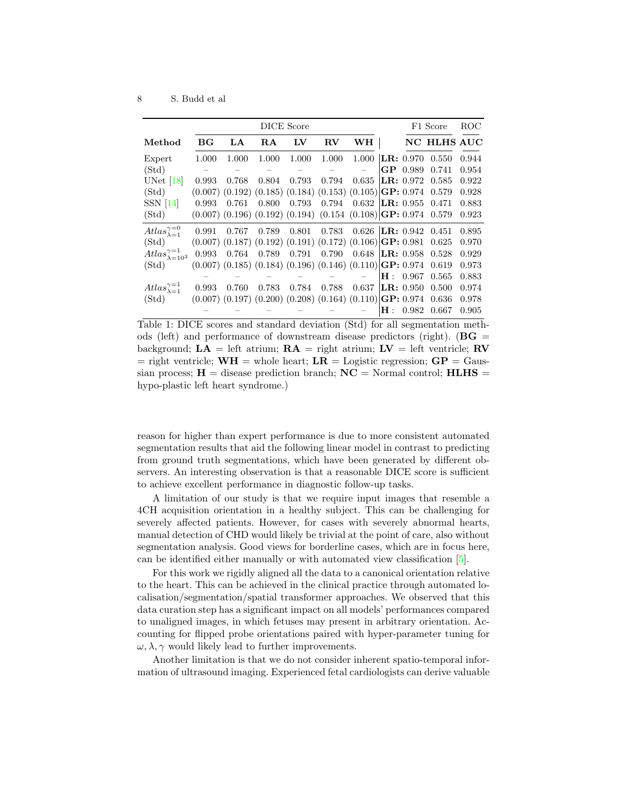<span id="page-7-0"></span>

|                                   | DICE Score |       |                                         |       |                                                                                            |                                               |               | F1 Score              |                    | ROC   |
|-----------------------------------|------------|-------|-----------------------------------------|-------|--------------------------------------------------------------------------------------------|-----------------------------------------------|---------------|-----------------------|--------------------|-------|
| Method                            | ВG         | LA    | RA                                      | LV    | $\mathbf{R} \mathbf{V}$                                                                    | WН                                            |               |                       | <b>NC HLHS AUC</b> |       |
| Expert                            | 1.000      | 1.000 | 1.000                                   | 1.000 | 1.000                                                                                      | 1.000                                         |               | LR: 0.970             | 0.550              | 0.944 |
| (Std)                             |            |       |                                         |       |                                                                                            |                                               |               | <b>GP</b> 0.989       | 0.741              | 0.954 |
| UNet $[18]$                       | 0.993      | 0.768 | 0.804                                   | 0.793 | 0.794                                                                                      | 0.635                                         |               | $ {\bf LR:\ 0.972}\>$ | 0.585              | 0.922 |
| (Std)                             |            |       |                                         |       | $(0.007)$ $(0.192)$ $(0.185)$ $(0.184)$ $(0.153)$ $(0.105)$ $\mathbf{GP:}$ $0.974$ $0.579$ |                                               |               |                       |                    | 0.928 |
| <b>SSN</b> [14]                   | 0.993      | 0.761 | 0.800                                   | 0.793 | 0.794                                                                                      | 0.632                                         |               | $ {\bf LR:\ 0.955} $  | 0.471              | 0.883 |
| (Std)                             |            |       | $(0.007)$ $(0.196)$ $(0.192)$ $(0.194)$ |       |                                                                                            | $(0.154 \ (0.108)   {\bf GP}: 0.974 \ 0.579)$ |               |                       |                    | 0.923 |
| $Atlas_{\lambda=1}^{\gamma=0}$    | 0.991      | 0.767 | 0.789                                   | 0.801 | 0.783                                                                                      | 0.626                                         |               | $\mathbf{LR: } 0.942$ | 0.451              | 0.895 |
| (Std)                             |            |       |                                         |       | $(0.007)$ $(0.187)$ $(0.192)$ $(0.191)$ $(0.172)$ $(0.106)$ GP: 0.981                      |                                               |               |                       | 0.625              | 0.970 |
| $Atlas_{\lambda=10^3}^{\gamma=1}$ | 0.993      | 0.764 | 0.789                                   | 0.791 | 0.790                                                                                      | 0.648                                         |               | $ {\bf LR:\ 0.958} $  | 0.528              | 0.929 |
| (Std)                             |            |       |                                         |       | $(0.007)$ $(0.185)$ $(0.184)$ $(0.196)$ $(0.146)$ $(0.110)$ $\mathbf{GP:}$ 0.974           |                                               |               |                       | 0.619              | 0.973 |
|                                   |            |       |                                         |       |                                                                                            |                                               | $\mathbf{H}:$ | 0.967                 | 0.565              | 0.883 |
| $Atlas_{\lambda=1}^{\gamma=1}$    | 0.993      | 0.760 | 0.783                                   | 0.784 | 0.788                                                                                      | 0.637                                         |               | LR: 0.950             | 0.500              | 0.974 |
| (Std)                             |            |       |                                         |       | $(0.007)$ $(0.197)$ $(0.200)$ $(0.208)$ $(0.164)$ $(0.110)$ $\mathbf{GP:}$ 0.974           |                                               |               |                       | 0.636              | 0.978 |
|                                   |            |       |                                         |       |                                                                                            |                                               | Н.            | 0.982                 | 0.667              | 0.905 |

Table 1: DICE scores and standard deviation (Std) for all segmentation methods (left) and performance of downstream disease predictors (right).  $(BG =$ background;  $LA = left$  atrium;  $RA = right$  atrium;  $LV = left$  ventricle; RV  $=$  right ventricle;  $WH =$  whole heart;  $LR =$  Logistic regression;  $GP =$  Gaussian process;  $H =$  disease prediction branch;  $NC =$  Normal control;  $HLHS =$ hypo-plastic left heart syndrome.)

reason for higher than expert performance is due to more consistent automated segmentation results that aid the following linear model in contrast to predicting from ground truth segmentations, which have been generated by different observers. An interesting observation is that a reasonable DICE score is sufficient to achieve excellent performance in diagnostic follow-up tasks.

A limitation of our study is that we require input images that resemble a 4CH acquisition orientation in a healthy subject. This can be challenging for severely affected patients. However, for cases with severely abnormal hearts, manual detection of CHD would likely be trivial at the point of care, also without segmentation analysis. Good views for borderline cases, which are in focus here, can be identified either manually or with automated view classification [\[5\]](#page-9-3).

For this work we rigidly aligned all the data to a canonical orientation relative to the heart. This can be achieved in the clinical practice through automated localisation/segmentation/spatial transformer approaches. We observed that this data curation step has a significant impact on all models' performances compared to unaligned images, in which fetuses may present in arbitrary orientation. Accounting for flipped probe orientations paired with hyper-parameter tuning for  $\omega, \lambda, \gamma$  would likely lead to further improvements.

Another limitation is that we do not consider inherent spatio-temporal information of ultrasound imaging. Experienced fetal cardiologists can derive valuable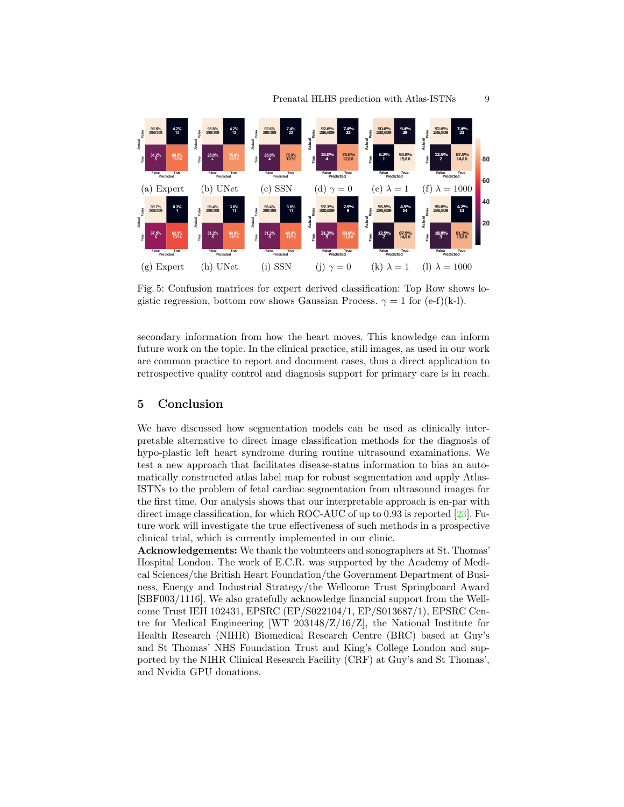<span id="page-8-0"></span>

Fig. 5: Confusion matrices for expert derived classification: Top Row shows logistic regression, bottom row shows Gaussian Process.  $\gamma = 1$  for (e-f)(k-l).

secondary information from how the heart moves. This knowledge can inform future work on the topic. In the clinical practice, still images, as used in our work are common practice to report and document cases, thus a direct application to retrospective quality control and diagnosis support for primary care is in reach.

# 5 Conclusion

We have discussed how segmentation models can be used as clinically interpretable alternative to direct image classification methods for the diagnosis of hypo-plastic left heart syndrome during routine ultrasound examinations. We test a new approach that facilitates disease-status information to bias an automatically constructed atlas label map for robust segmentation and apply Atlas-ISTNs to the problem of fetal cardiac segmentation from ultrasound images for the first time. Our analysis shows that our interpretable approach is en-par with direct image classification, for which ROC-AUC of up to 0.93 is reported [\[23\]](#page-10-0). Future work will investigate the true effectiveness of such methods in a prospective clinical trial, which is currently implemented in our clinic.

Acknowledgements: We thank the volunteers and sonographers at St. Thomas' Hospital London. The work of E.C.R. was supported by the Academy of Medical Sciences/the British Heart Foundation/the Government Department of Business, Energy and Industrial Strategy/the Wellcome Trust Springboard Award [SBF003/1116]. We also gratefully acknowledge financial support from the Wellcome Trust IEH 102431, EPSRC (EP/S022104/1, EP/S013687/1), EPSRC Centre for Medical Engineering [WT 203148/Z/16/Z], the National Institute for Health Research (NIHR) Biomedical Research Centre (BRC) based at Guy's and St Thomas' NHS Foundation Trust and King's College London and supported by the NIHR Clinical Research Facility (CRF) at Guy's and St Thomas', and Nvidia GPU donations.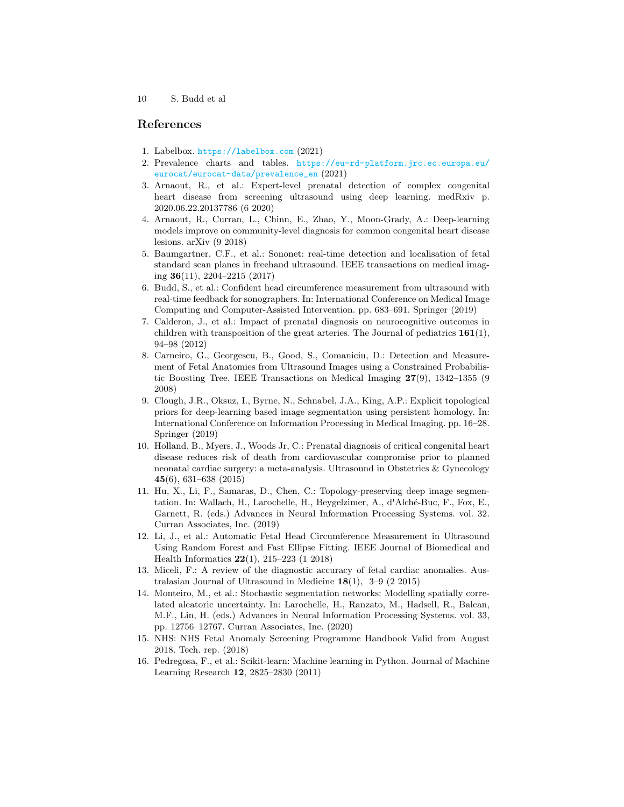# References

- <span id="page-9-14"></span>1. Labelbox. <https://labelbox.com> (2021)
- <span id="page-9-13"></span>2. Prevalence charts and tables. [https://eu-rd-platform.jrc.ec.europa.eu/](https://eu-rd-platform.jrc.ec.europa.eu/eurocat/eurocat-data/prevalence_en) [eurocat/eurocat-data/prevalence\\_en](https://eu-rd-platform.jrc.ec.europa.eu/eurocat/eurocat-data/prevalence_en) (2021)
- <span id="page-9-12"></span>3. Arnaout, R., et al.: Expert-level prenatal detection of complex congenital heart disease from screening ultrasound using deep learning. medRxiv p. 2020.06.22.20137786 (6 2020)
- <span id="page-9-5"></span>4. Arnaout, R., Curran, L., Chinn, E., Zhao, Y., Moon-Grady, A.: Deep-learning models improve on community-level diagnosis for common congenital heart disease lesions. arXiv (9 2018)
- <span id="page-9-3"></span>5. Baumgartner, C.F., et al.: Sononet: real-time detection and localisation of fetal standard scan planes in freehand ultrasound. IEEE transactions on medical imaging 36(11), 2204–2215 (2017)
- <span id="page-9-6"></span>6. Budd, S., et al.: Confident head circumference measurement from ultrasound with real-time feedback for sonographers. In: International Conference on Medical Image Computing and Computer-Assisted Intervention. pp. 683–691. Springer (2019)
- <span id="page-9-2"></span>7. Calderon, J., et al.: Impact of prenatal diagnosis on neurocognitive outcomes in children with transposition of the great arteries. The Journal of pediatrics  $161(1)$ , 94–98 (2012)
- <span id="page-9-7"></span>8. Carneiro, G., Georgescu, B., Good, S., Comaniciu, D.: Detection and Measurement of Fetal Anatomies from Ultrasound Images using a Constrained Probabilistic Boosting Tree. IEEE Transactions on Medical Imaging 27(9), 1342–1355 (9 2008)
- <span id="page-9-10"></span>9. Clough, J.R., Oksuz, I., Byrne, N., Schnabel, J.A., King, A.P.: Explicit topological priors for deep-learning based image segmentation using persistent homology. In: International Conference on Information Processing in Medical Imaging. pp. 16–28. Springer (2019)
- <span id="page-9-1"></span>10. Holland, B., Myers, J., Woods Jr, C.: Prenatal diagnosis of critical congenital heart disease reduces risk of death from cardiovascular compromise prior to planned neonatal cardiac surgery: a meta-analysis. Ultrasound in Obstetrics & Gynecology 45(6), 631–638 (2015)
- <span id="page-9-11"></span>11. Hu, X., Li, F., Samaras, D., Chen, C.: Topology-preserving deep image segmentation. In: Wallach, H., Larochelle, H., Beygelzimer, A., d'Alché-Buc, F., Fox, E., Garnett, R. (eds.) Advances in Neural Information Processing Systems. vol. 32. Curran Associates, Inc. (2019)
- <span id="page-9-8"></span>12. Li, J., et al.: Automatic Fetal Head Circumference Measurement in Ultrasound Using Random Forest and Fast Ellipse Fitting. IEEE Journal of Biomedical and Health Informatics 22(1), 215–223 (1 2018)
- <span id="page-9-4"></span>13. Miceli, F.: A review of the diagnostic accuracy of fetal cardiac anomalies. Australasian Journal of Ultrasound in Medicine  $18(1)$ , 3–9 (2 2015)
- <span id="page-9-9"></span>14. Monteiro, M., et al.: Stochastic segmentation networks: Modelling spatially correlated aleatoric uncertainty. In: Larochelle, H., Ranzato, M., Hadsell, R., Balcan, M.F., Lin, H. (eds.) Advances in Neural Information Processing Systems. vol. 33, pp. 12756–12767. Curran Associates, Inc. (2020)
- <span id="page-9-0"></span>15. NHS: NHS Fetal Anomaly Screening Programme Handbook Valid from August 2018. Tech. rep. (2018)
- <span id="page-9-15"></span>16. Pedregosa, F., et al.: Scikit-learn: Machine learning in Python. Journal of Machine Learning Research 12, 2825–2830 (2011)